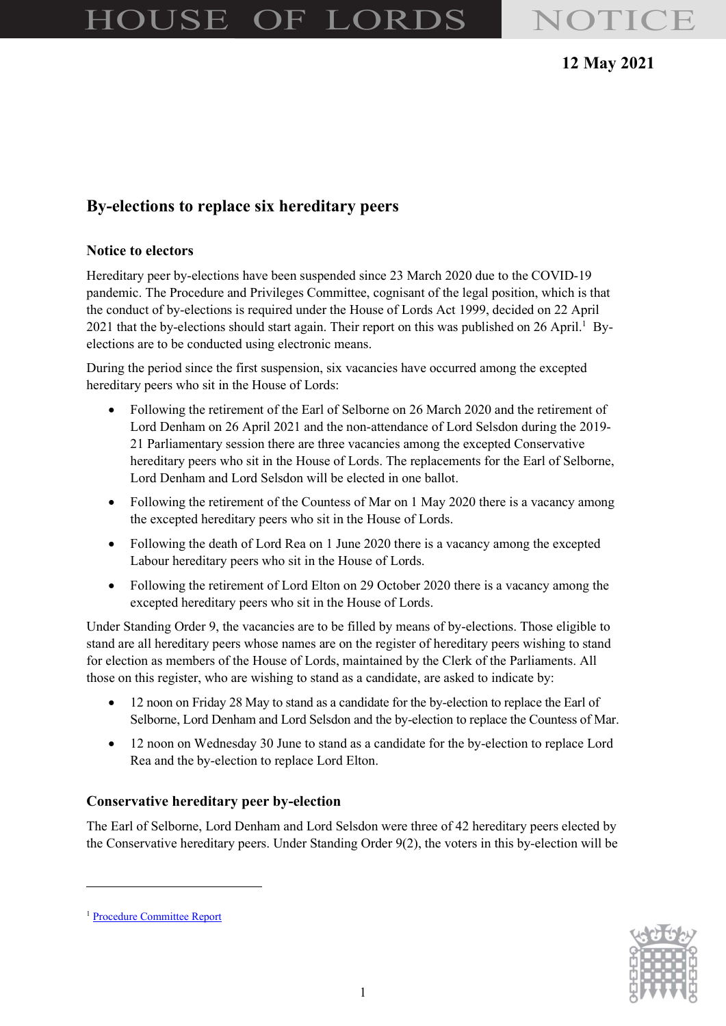# HOUSE OF LORDS NOTICE

# 12 May 2021

# By-elections to replace six hereditary peers

#### Notice to electors

Hereditary peer by-elections have been suspended since 23 March 2020 due to the COVID-19 pandemic. The Procedure and Privileges Committee, cognisant of the legal position, which is that the conduct of by-elections is required under the House of Lords Act 1999, decided on 22 April 2021 that the by-elections should start again. Their report on this was published on 26 April.<sup>1</sup> Byelections are to be conducted using electronic means.

During the period since the first suspension, six vacancies have occurred among the excepted hereditary peers who sit in the House of Lords:

- Following the retirement of the Earl of Selborne on 26 March 2020 and the retirement of Lord Denham on 26 April 2021 and the non-attendance of Lord Selsdon during the 2019- 21 Parliamentary session there are three vacancies among the excepted Conservative hereditary peers who sit in the House of Lords. The replacements for the Earl of Selborne, Lord Denham and Lord Selsdon will be elected in one ballot.
- Following the retirement of the Countess of Mar on 1 May 2020 there is a vacancy among the excepted hereditary peers who sit in the House of Lords.
- Following the death of Lord Rea on 1 June 2020 there is a vacancy among the excepted Labour hereditary peers who sit in the House of Lords.
- Following the retirement of Lord Elton on 29 October 2020 there is a vacancy among the excepted hereditary peers who sit in the House of Lords.

Under Standing Order 9, the vacancies are to be filled by means of by-elections. Those eligible to stand are all hereditary peers whose names are on the register of hereditary peers wishing to stand for election as members of the House of Lords, maintained by the Clerk of the Parliaments. All those on this register, who are wishing to stand as a candidate, are asked to indicate by:

- 12 noon on Friday 28 May to stand as a candidate for the by-election to replace the Earl of Selborne, Lord Denham and Lord Selsdon and the by-election to replace the Countess of Mar.
- 12 noon on Wednesday 30 June to stand as a candidate for the by-election to replace Lord Rea and the by-election to replace Lord Elton.

#### Conservative hereditary peer by-election

The Earl of Selborne, Lord Denham and Lord Selsdon were three of 42 hereditary peers elected by the Conservative hereditary peers. Under Standing Order 9(2), the voters in this by-election will be



<sup>1</sup> Procedure Committee Report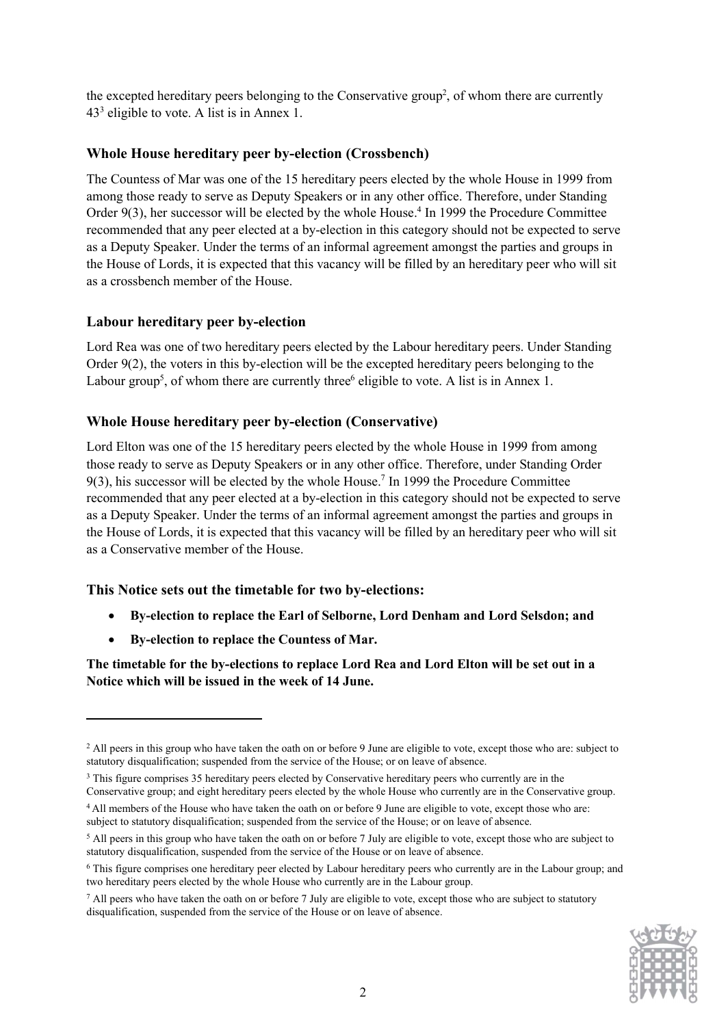the excepted hereditary peers belonging to the Conservative group<sup>2</sup>, of whom there are currently 43<sup>3</sup> eligible to vote. A list is in Annex 1.

#### Whole House hereditary peer by-election (Crossbench)

The Countess of Mar was one of the 15 hereditary peers elected by the whole House in 1999 from among those ready to serve as Deputy Speakers or in any other office. Therefore, under Standing Order 9(3), her successor will be elected by the whole House.<sup>4</sup> In 1999 the Procedure Committee recommended that any peer elected at a by-election in this category should not be expected to serve as a Deputy Speaker. Under the terms of an informal agreement amongst the parties and groups in the House of Lords, it is expected that this vacancy will be filled by an hereditary peer who will sit as a crossbench member of the House.

#### Labour hereditary peer by-election

Lord Rea was one of two hereditary peers elected by the Labour hereditary peers. Under Standing Order 9(2), the voters in this by-election will be the excepted hereditary peers belonging to the Labour group<sup>5</sup>, of whom there are currently three<sup>6</sup> eligible to vote. A list is in Annex 1.

#### Whole House hereditary peer by-election (Conservative)

Lord Elton was one of the 15 hereditary peers elected by the whole House in 1999 from among those ready to serve as Deputy Speakers or in any other office. Therefore, under Standing Order 9(3), his successor will be elected by the whole House.<sup>7</sup> In 1999 the Procedure Committee recommended that any peer elected at a by-election in this category should not be expected to serve as a Deputy Speaker. Under the terms of an informal agreement amongst the parties and groups in the House of Lords, it is expected that this vacancy will be filled by an hereditary peer who will sit as a Conservative member of the House.

#### This Notice sets out the timetable for two by-elections:

- By-election to replace the Earl of Selborne, Lord Denham and Lord Selsdon; and
- By-election to replace the Countess of Mar.

The timetable for the by-elections to replace Lord Rea and Lord Elton will be set out in a Notice which will be issued in the week of 14 June.

Conservative group; and eight hereditary peers elected by the whole House who currently are in the Conservative group.

<sup>&</sup>lt;sup>7</sup> All peers who have taken the oath on or before 7 July are eligible to vote, except those who are subject to statutory disqualification, suspended from the service of the House or on leave of absence.



<sup>&</sup>lt;sup>2</sup> All peers in this group who have taken the oath on or before 9 June are eligible to vote, except those who are: subject to statutory disqualification; suspended from the service of the House; or on leave of absence.

<sup>&</sup>lt;sup>3</sup> This figure comprises 35 hereditary peers elected by Conservative hereditary peers who currently are in the

<sup>4</sup>All members of the House who have taken the oath on or before 9 June are eligible to vote, except those who are: subject to statutory disqualification; suspended from the service of the House; or on leave of absence.

<sup>&</sup>lt;sup>5</sup> All peers in this group who have taken the oath on or before 7 July are eligible to vote, except those who are subject to statutory disqualification, suspended from the service of the House or on leave of absence.

<sup>6</sup> This figure comprises one hereditary peer elected by Labour hereditary peers who currently are in the Labour group; and two hereditary peers elected by the whole House who currently are in the Labour group.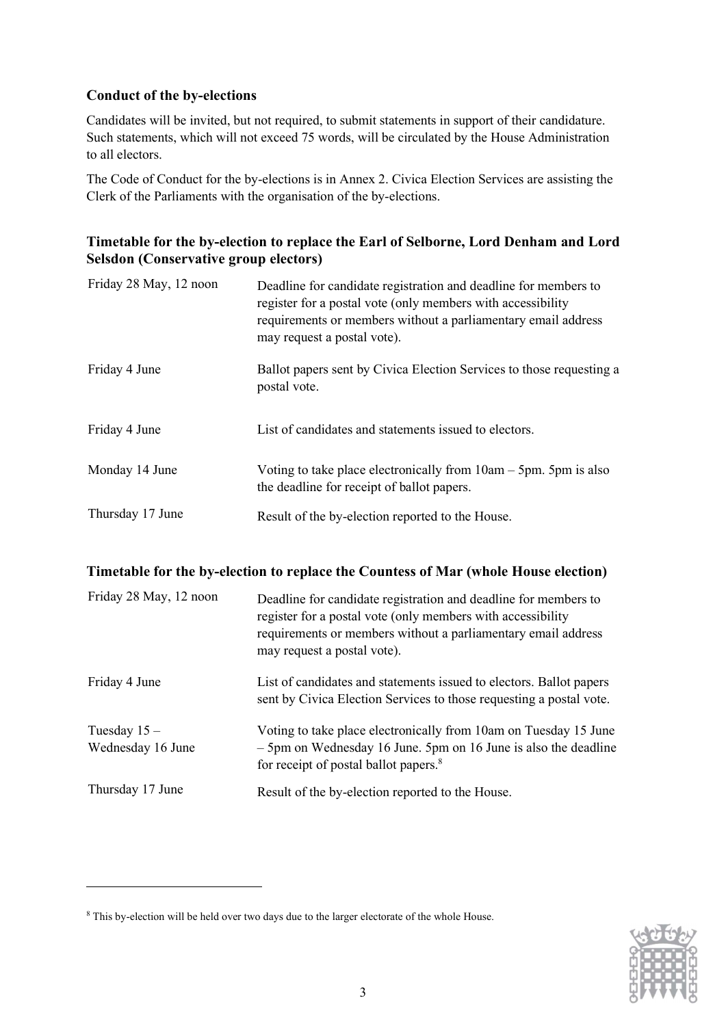#### Conduct of the by-elections

Candidates will be invited, but not required, to submit statements in support of their candidature. Such statements, which will not exceed 75 words, will be circulated by the House Administration to all electors.

The Code of Conduct for the by-elections is in Annex 2. Civica Election Services are assisting the Clerk of the Parliaments with the organisation of the by-elections.

#### Timetable for the by-election to replace the Earl of Selborne, Lord Denham and Lord Selsdon (Conservative group electors)

| Friday 28 May, 12 noon | Deadline for candidate registration and deadline for members to<br>register for a postal vote (only members with accessibility<br>requirements or members without a parliamentary email address<br>may request a postal vote). |
|------------------------|--------------------------------------------------------------------------------------------------------------------------------------------------------------------------------------------------------------------------------|
| Friday 4 June          | Ballot papers sent by Civica Election Services to those requesting a<br>postal vote.                                                                                                                                           |
| Friday 4 June          | List of candidates and statements issued to electors.                                                                                                                                                                          |
| Monday 14 June         | Voting to take place electronically from $10am - 5pm$ . 5pm is also<br>the deadline for receipt of ballot papers.                                                                                                              |
| Thursday 17 June       | Result of the by-election reported to the House.                                                                                                                                                                               |

#### Timetable for the by-election to replace the Countess of Mar (whole House election)

| Friday 28 May, 12 noon             | Deadline for candidate registration and deadline for members to<br>register for a postal vote (only members with accessibility<br>requirements or members without a parliamentary email address<br>may request a postal vote). |
|------------------------------------|--------------------------------------------------------------------------------------------------------------------------------------------------------------------------------------------------------------------------------|
| Friday 4 June                      | List of candidates and statements issued to electors. Ballot papers<br>sent by Civica Election Services to those requesting a postal vote.                                                                                     |
| Tuesday $15-$<br>Wednesday 16 June | Voting to take place electronically from 10am on Tuesday 15 June<br>$-5$ pm on Wednesday 16 June. 5pm on 16 June is also the deadline<br>for receipt of postal ballot papers. <sup>8</sup>                                     |
| Thursday 17 June                   | Result of the by-election reported to the House.                                                                                                                                                                               |



<sup>&</sup>lt;sup>8</sup> This by-election will be held over two days due to the larger electorate of the whole House.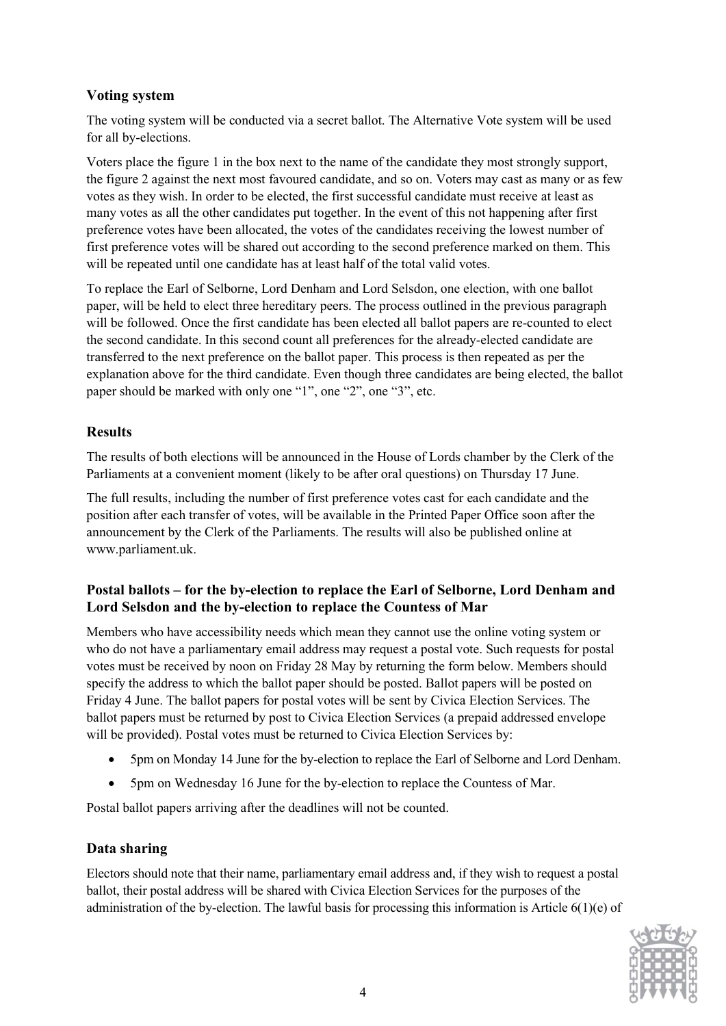#### Voting system

The voting system will be conducted via a secret ballot. The Alternative Vote system will be used for all by-elections.

Voters place the figure 1 in the box next to the name of the candidate they most strongly support, the figure 2 against the next most favoured candidate, and so on. Voters may cast as many or as few votes as they wish. In order to be elected, the first successful candidate must receive at least as many votes as all the other candidates put together. In the event of this not happening after first preference votes have been allocated, the votes of the candidates receiving the lowest number of first preference votes will be shared out according to the second preference marked on them. This will be repeated until one candidate has at least half of the total valid votes.

To replace the Earl of Selborne, Lord Denham and Lord Selsdon, one election, with one ballot paper, will be held to elect three hereditary peers. The process outlined in the previous paragraph will be followed. Once the first candidate has been elected all ballot papers are re-counted to elect the second candidate. In this second count all preferences for the already-elected candidate are transferred to the next preference on the ballot paper. This process is then repeated as per the explanation above for the third candidate. Even though three candidates are being elected, the ballot paper should be marked with only one "1", one "2", one "3", etc.

### **Results**

The results of both elections will be announced in the House of Lords chamber by the Clerk of the Parliaments at a convenient moment (likely to be after oral questions) on Thursday 17 June.

The full results, including the number of first preference votes cast for each candidate and the position after each transfer of votes, will be available in the Printed Paper Office soon after the announcement by the Clerk of the Parliaments. The results will also be published online at www.parliament.uk.

#### Postal ballots – for the by-election to replace the Earl of Selborne, Lord Denham and Lord Selsdon and the by-election to replace the Countess of Mar

Members who have accessibility needs which mean they cannot use the online voting system or who do not have a parliamentary email address may request a postal vote. Such requests for postal votes must be received by noon on Friday 28 May by returning the form below. Members should specify the address to which the ballot paper should be posted. Ballot papers will be posted on Friday 4 June. The ballot papers for postal votes will be sent by Civica Election Services. The ballot papers must be returned by post to Civica Election Services (a prepaid addressed envelope will be provided). Postal votes must be returned to Civica Election Services by:

- 5pm on Monday 14 June for the by-election to replace the Earl of Selborne and Lord Denham.
- 5pm on Wednesday 16 June for the by-election to replace the Countess of Mar.

Postal ballot papers arriving after the deadlines will not be counted.

## Data sharing

Electors should note that their name, parliamentary email address and, if they wish to request a postal ballot, their postal address will be shared with Civica Election Services for the purposes of the administration of the by-election. The lawful basis for processing this information is Article 6(1)(e) of

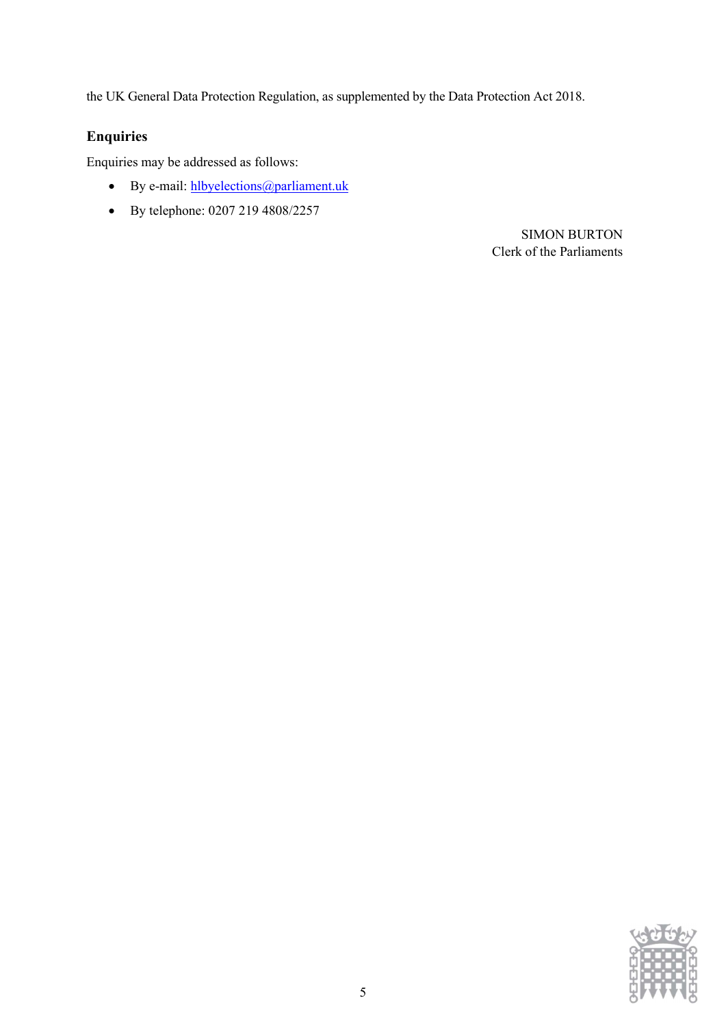the UK General Data Protection Regulation, as supplemented by the Data Protection Act 2018.

# Enquiries

Enquiries may be addressed as follows:

- By e-mail: hlbyelections@parliament.uk
- By telephone: 0207 219 4808/2257

SIMON BURTON Clerk of the Parliaments

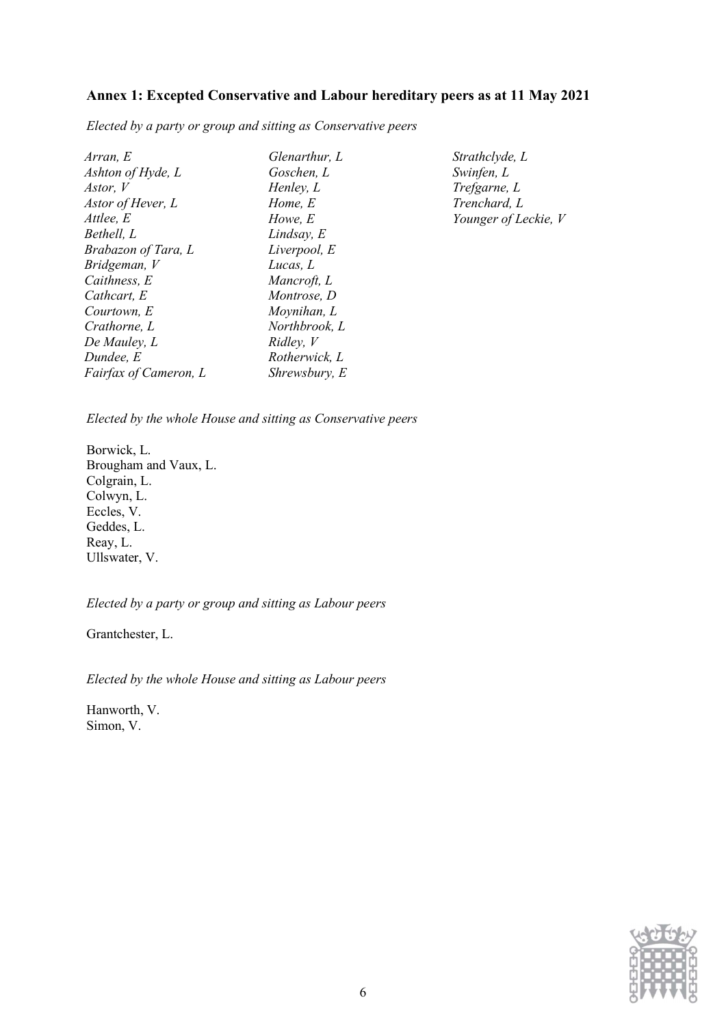#### Annex 1: Excepted Conservative and Labour hereditary peers as at 11 May 2021

Elected by a party or group and sitting as Conservative peers

| Arran, E              | Glenarthur, L | Strathclyde, L       |
|-----------------------|---------------|----------------------|
| Ashton of Hyde, L     | Goschen, L    | Swinfen, L           |
| Astor, V              | Henley, L     | Trefgarne, L         |
| Astor of Hever, L     | Home, E       | Trenchard, L         |
| Attlee, E             | Howe, E       | Younger of Leckie, V |
| Bethell, L            | Lindsay, E    |                      |
| Brabazon of Tara, L   | Liverpool, E  |                      |
| Bridgeman, V          | Lucas, L      |                      |
| Caithness, E          | Mancroft, L   |                      |
| Cathcart, E           | Montrose, D   |                      |
| Courtown, E           | Moynihan, L   |                      |
| Crathorne, L          | Northbrook, L |                      |
| De Mauley, L          | Ridley, V     |                      |
| Dundee, E             | Rotherwick, L |                      |
| Fairfax of Cameron, L | Shrewsbury, E |                      |

Elected by the whole House and sitting as Conservative peers

Borwick, L. Brougham and Vaux, L. Colgrain, L. Colwyn, L. Eccles, V. Geddes, L. Reay, L. Ullswater, V.

Elected by a party or group and sitting as Labour peers

Grantchester, L.

Elected by the whole House and sitting as Labour peers

Hanworth, V. Simon, V.

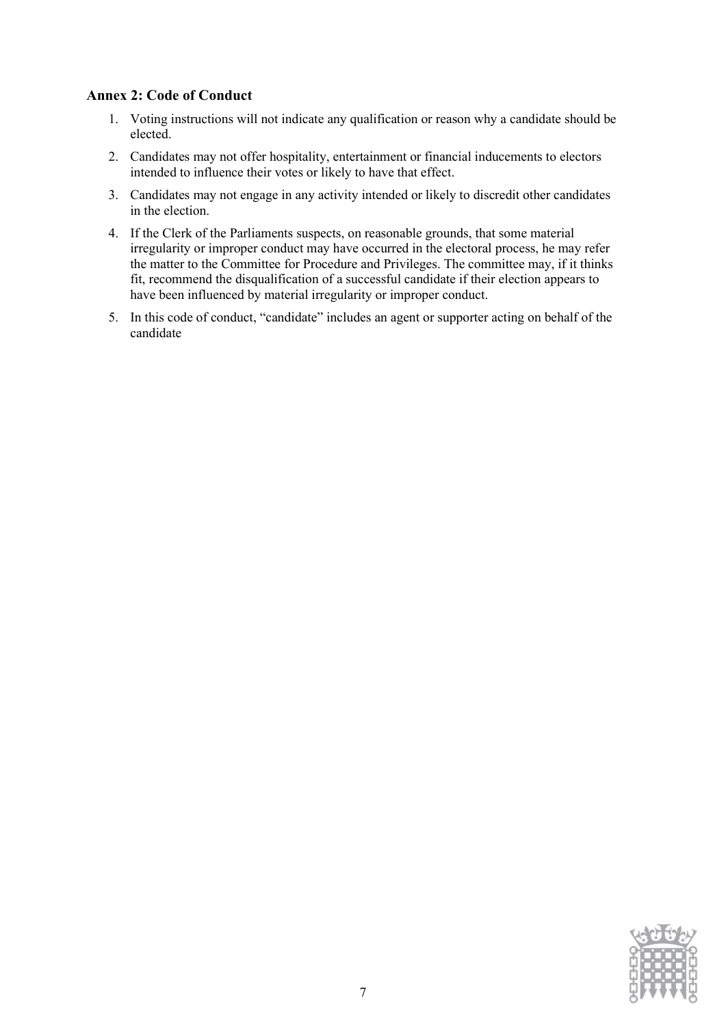#### Annex 2: Code of Conduct

- 1. Voting instructions will not indicate any qualification or reason why a candidate should be elected.
- 2. Candidates may not offer hospitality, entertainment or financial inducements to electors intended to influence their votes or likely to have that effect.
- 3. Candidates may not engage in any activity intended or likely to discredit other candidates in the election.
- 4. If the Clerk of the Parliaments suspects, on reasonable grounds, that some material irregularity or improper conduct may have occurred in the electoral process, he may refer the matter to the Committee for Procedure and Privileges. The committee may, if it thinks fit, recommend the disqualification of a successful candidate if their election appears to have been influenced by material irregularity or improper conduct.
- 5. In this code of conduct, "candidate" includes an agent or supporter acting on behalf of the candidate